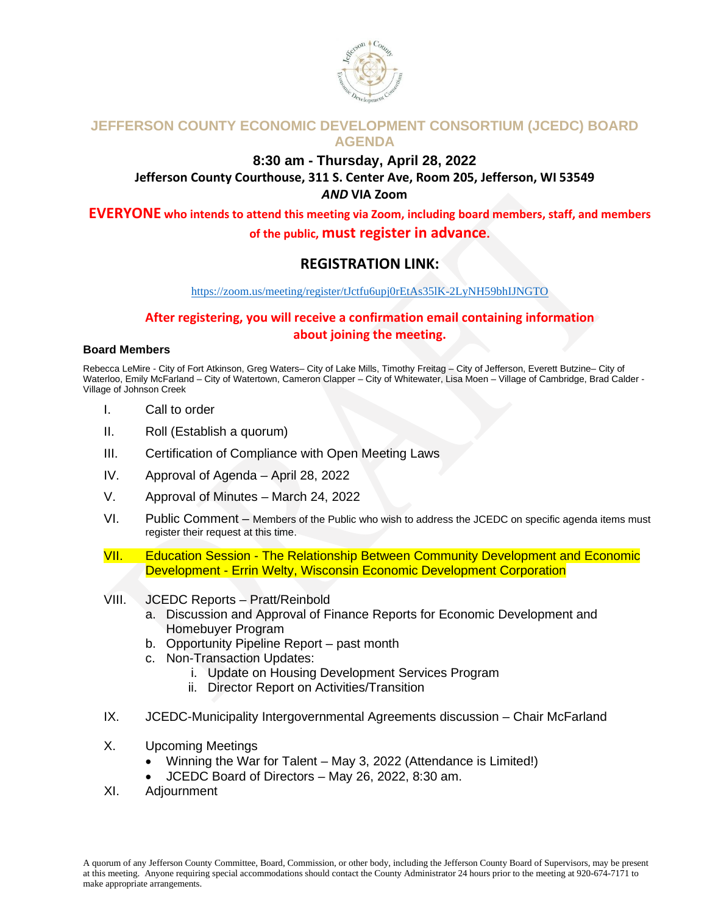

# **JEFFERSON COUNTY ECONOMIC DEVELOPMENT CONSORTIUM (JCEDC) BOARD AGENDA**

### **8:30 am - Thursday, April 28, 2022 Jefferson County Courthouse, 311 S. Center Ave, Room 205, Jefferson, WI 53549** *AND* **VIA Zoom**

**EVERYONE who intends to attend this meeting via Zoom, including board members, staff, and members of the public, must register in advance.** 

# **REGISTRATION LINK:**

<https://zoom.us/meeting/register/tJctfu6upj0rEtAs35lK-2LyNH59bhIJNGTO>

# **After registering, you will receive a confirmation email containing information about joining the meeting.**

#### **Board Members**

Rebecca LeMire - City of Fort Atkinson, Greg Waters– City of Lake Mills, Timothy Freitag – City of Jefferson, Everett Butzine– City of Waterloo, Emily McFarland – City of Watertown, Cameron Clapper – City of Whitewater, Lisa Moen – Village of Cambridge, Brad Calder - Village of Johnson Creek

- I. Call to order
- II. Roll (Establish a quorum)
- III. Certification of Compliance with Open Meeting Laws
- IV. Approval of Agenda April 28, 2022
- V. Approval of Minutes March 24, 2022
- VI. Public Comment Members of the Public who wish to address the JCEDC on specific agenda items must register their request at this time.
- VII. Education Session The Relationship Between Community Development and Economic Development - Errin Welty, Wisconsin Economic Development Corporation
- VIII. JCEDC Reports Pratt/Reinbold
	- a. Discussion and Approval of Finance Reports for Economic Development and Homebuyer Program
	- b. Opportunity Pipeline Report past month
	- c. Non-Transaction Updates:
		- i. Update on Housing Development Services Program
		- ii. Director Report on Activities/Transition
- IX. JCEDC-Municipality Intergovernmental Agreements discussion Chair McFarland
- X. Upcoming Meetings
	- Winning the War for Talent May 3, 2022 (Attendance is Limited!)
	- JCEDC Board of Directors May 26, 2022, 8:30 am.
- XI. Adjournment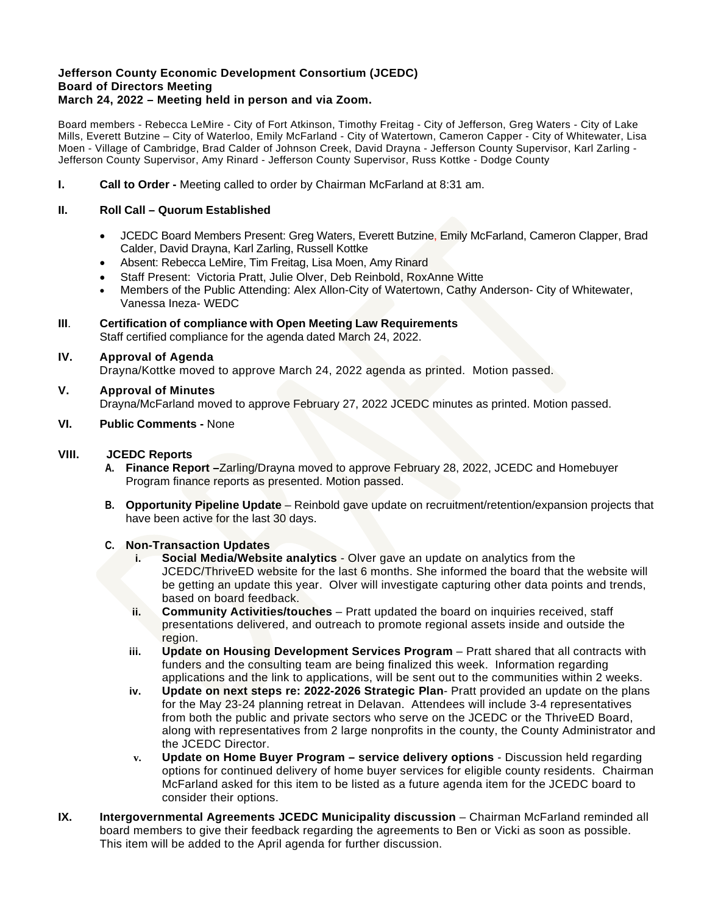#### **Jefferson County Economic Development Consortium (JCEDC) Board of Directors Meeting March 24, 2022 – Meeting held in person and via Zoom.**

Board members - Rebecca LeMire - City of Fort Atkinson, Timothy Freitag - City of Jefferson, Greg Waters - City of Lake Mills, Everett Butzine – City of Waterloo, Emily McFarland - City of Watertown, Cameron Capper - City of Whitewater, Lisa Moen - Village of Cambridge, Brad Calder of Johnson Creek, David Drayna - Jefferson County Supervisor, Karl Zarling - Jefferson County Supervisor, Amy Rinard - Jefferson County Supervisor, Russ Kottke - Dodge County

**I. Call to Order -** Meeting called to order by Chairman McFarland at 8:31 am.

#### **II. Roll Call – Quorum Established**

- JCEDC Board Members Present: Greg Waters, Everett Butzine, Emily McFarland, Cameron Clapper, Brad Calder, David Drayna, Karl Zarling, Russell Kottke
- Absent: Rebecca LeMire, Tim Freitag, Lisa Moen, Amy Rinard
- Staff Present: Victoria Pratt, Julie Olver, Deb Reinbold, RoxAnne Witte
- Members of the Public Attending: Alex Allon-City of Watertown, Cathy Anderson- City of Whitewater, Vanessa Ineza- WEDC
- **III**. **Certification of compliance with Open Meeting Law Requirements** Staff certified compliance for the agenda dated March 24, 2022.

#### **IV. Approval of Agenda**

Drayna/Kottke moved to approve March 24, 2022 agenda as printed. Motion passed.

#### **V. Approval of Minutes**

Drayna/McFarland moved to approve February 27, 2022 JCEDC minutes as printed. Motion passed.

#### **VI. Public Comments -** None

#### **VIII. JCEDC Reports**

- **A. Finance Report –**Zarling/Drayna moved to approve February 28, 2022, JCEDC and Homebuyer Program finance reports as presented. Motion passed.
- **B. Opportunity Pipeline Update** Reinbold gave update on recruitment/retention/expansion projects that have been active for the last 30 days.

#### **C. Non-Transaction Updates**

- **i. Social Media/Website analytics** Olver gave an update on analytics from the JCEDC/ThriveED website for the last 6 months. She informed the board that the website will be getting an update this year. Olver will investigate capturing other data points and trends, based on board feedback.
- **ii. Community Activities/touches** Pratt updated the board on inquiries received, staff presentations delivered, and outreach to promote regional assets inside and outside the region.
- **iii. Update on Housing Development Services Program** Pratt shared that all contracts with funders and the consulting team are being finalized this week. Information regarding applications and the link to applications, will be sent out to the communities within 2 weeks.
- **iv. Update on next steps re: 2022-2026 Strategic Plan** Pratt provided an update on the plans for the May 23-24 planning retreat in Delavan. Attendees will include 3-4 representatives from both the public and private sectors who serve on the JCEDC or the ThriveED Board, along with representatives from 2 large nonprofits in the county, the County Administrator and the JCEDC Director.
- **v. Update on Home Buyer Program – service delivery options** Discussion held regarding options for continued delivery of home buyer services for eligible county residents. Chairman McFarland asked for this item to be listed as a future agenda item for the JCEDC board to consider their options.
- **IX.** Intergovernmental Agreements JCEDC Municipality discussion Chairman McFarland reminded all board members to give their feedback regarding the agreements to Ben or Vicki as soon as possible. This item will be added to the April agenda for further discussion.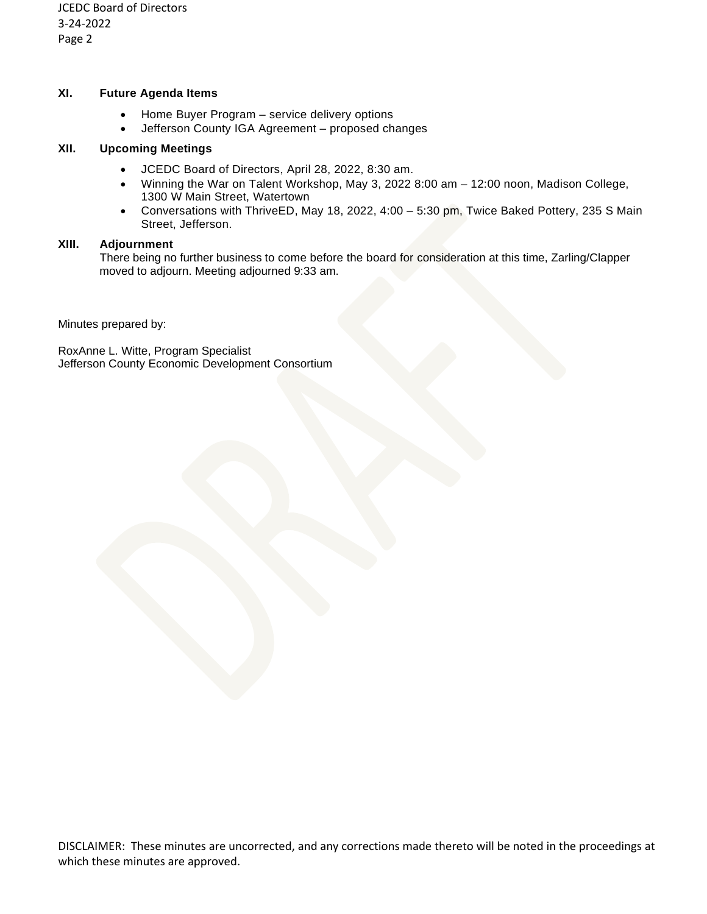JCEDC Board of Directors 3-24-2022 Page 2

#### **XI. Future Agenda Items**

- Home Buyer Program service delivery options
- Jefferson County IGA Agreement proposed changes

#### **XII. Upcoming Meetings**

- JCEDC Board of Directors, April 28, 2022, 8:30 am.
- Winning the War on Talent Workshop, May 3, 2022 8:00 am 12:00 noon, Madison College, 1300 W Main Street, Watertown
- Conversations with ThriveED, May 18, 2022, 4:00 5:30 pm, Twice Baked Pottery, 235 S Main Street, Jefferson.

#### **XIII. Adjournment**

There being no further business to come before the board for consideration at this time, Zarling/Clapper moved to adjourn. Meeting adjourned 9:33 am.

Minutes prepared by:

RoxAnne L. Witte, Program Specialist Jefferson County Economic Development Consortium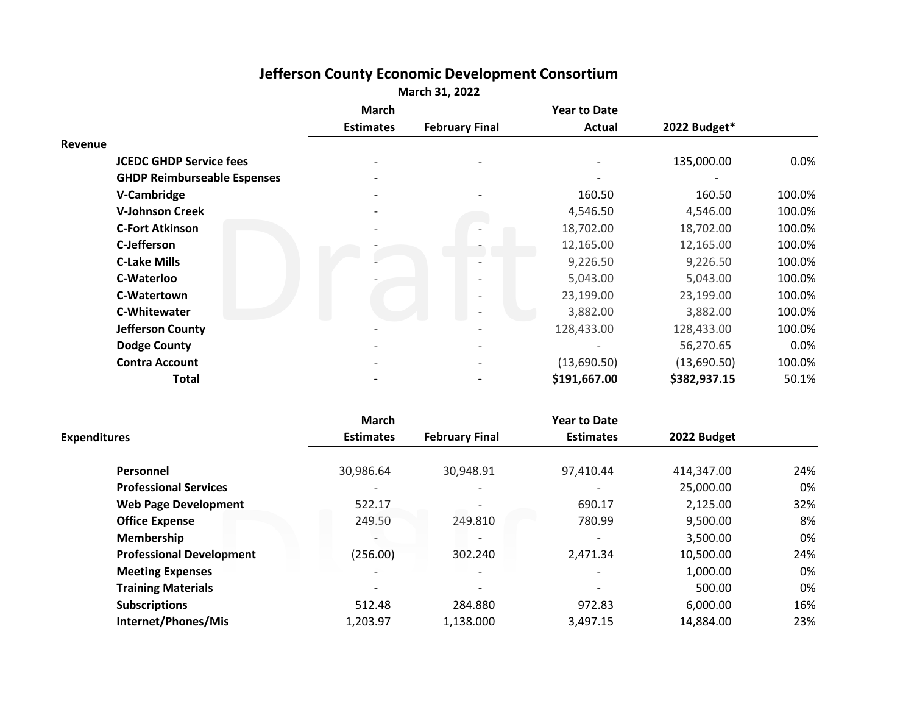|                                    | <b>March</b>     |                       | <b>Year to Date</b> |              |        |
|------------------------------------|------------------|-----------------------|---------------------|--------------|--------|
|                                    | <b>Estimates</b> | <b>February Final</b> | Actual              | 2022 Budget* |        |
| Revenue                            |                  |                       |                     |              |        |
| <b>JCEDC GHDP Service fees</b>     |                  |                       |                     | 135,000.00   | 0.0%   |
| <b>GHDP Reimburseable Espenses</b> |                  |                       |                     |              |        |
| V-Cambridge                        |                  |                       | 160.50              | 160.50       | 100.0% |
| <b>V-Johnson Creek</b>             |                  |                       | 4,546.50            | 4,546.00     | 100.0% |
| <b>C-Fort Atkinson</b>             |                  |                       | 18,702.00           | 18,702.00    | 100.0% |
| C-Jefferson                        |                  |                       | 12,165.00           | 12,165.00    | 100.0% |
| <b>C-Lake Mills</b>                |                  |                       | 9,226.50            | 9,226.50     | 100.0% |
| C-Waterloo                         |                  |                       | 5,043.00            | 5,043.00     | 100.0% |
| C-Watertown                        |                  |                       | 23,199.00           | 23,199.00    | 100.0% |
| <b>C-Whitewater</b>                |                  |                       | 3,882.00            | 3,882.00     | 100.0% |
| <b>Jefferson County</b>            |                  |                       | 128,433.00          | 128,433.00   | 100.0% |
| Dodge County                       |                  |                       |                     | 56,270.65    | 0.0%   |
| <b>Contra Account</b>              |                  |                       | (13,690.50)         | (13,690.50)  | 100.0% |
| <b>Total</b>                       |                  |                       | \$191,667.00        | \$382,937.15 | 50.1%  |

# **Jefferson County Economic Development Consortium**

**March 31, 2022**

|                                 | <b>March</b>     |                       | <b>Year to Date</b> |             |     |
|---------------------------------|------------------|-----------------------|---------------------|-------------|-----|
| <b>Expenditures</b>             | <b>Estimates</b> | <b>February Final</b> | <b>Estimates</b>    | 2022 Budget |     |
|                                 |                  |                       |                     |             |     |
| <b>Personnel</b>                | 30,986.64        | 30,948.91             | 97,410.44           | 414,347.00  | 24% |
| <b>Professional Services</b>    |                  |                       |                     | 25,000.00   | 0%  |
| <b>Web Page Development</b>     | 522.17           |                       | 690.17              | 2,125.00    | 32% |
| <b>Office Expense</b>           | 249.50           | 249.810               | 780.99              | 9,500.00    | 8%  |
| Membership                      |                  |                       |                     | 3,500.00    | 0%  |
| <b>Professional Development</b> | (256.00)         | 302.240               | 2,471.34            | 10,500.00   | 24% |
| <b>Meeting Expenses</b>         |                  |                       |                     | 1,000.00    | 0%  |
| <b>Training Materials</b>       |                  | $\overline{a}$        |                     | 500.00      | 0%  |
| <b>Subscriptions</b>            | 512.48           | 284.880               | 972.83              | 6,000.00    | 16% |
| Internet/Phones/Mis             | 1,203.97         | 1,138.000             | 3,497.15            | 14,884.00   | 23% |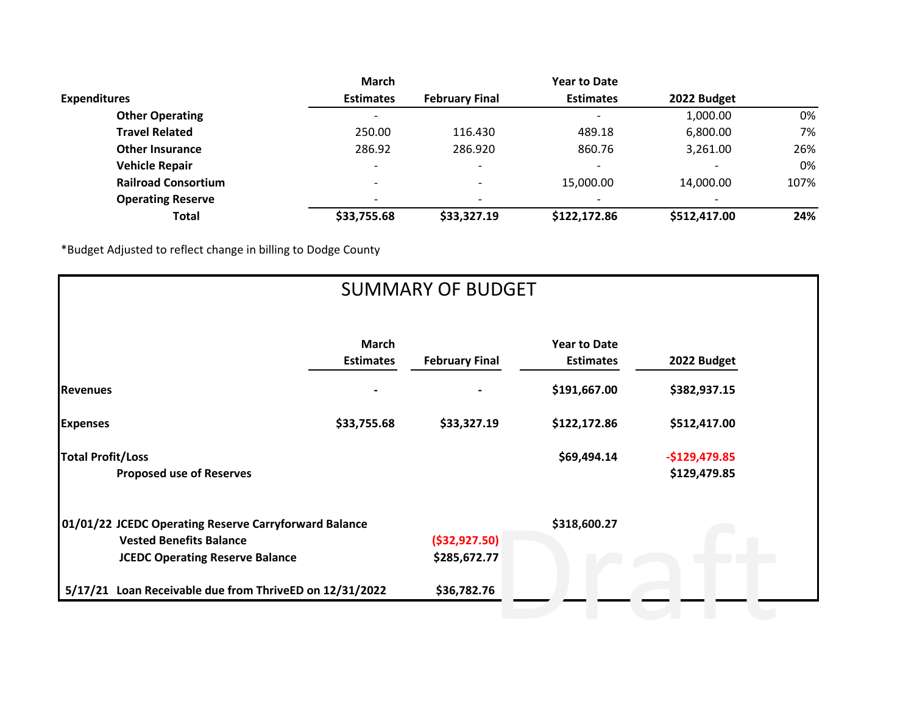|                            | March                    |                          | <b>Year to Date</b>      |                          |      |
|----------------------------|--------------------------|--------------------------|--------------------------|--------------------------|------|
| <b>Expenditures</b>        | <b>Estimates</b>         | <b>February Final</b>    | <b>Estimates</b>         | 2022 Budget              |      |
| <b>Other Operating</b>     |                          |                          |                          | 1,000.00                 | 0%   |
| <b>Travel Related</b>      | 250.00                   | 116.430                  | 489.18                   | 6,800.00                 | 7%   |
| <b>Other Insurance</b>     | 286.92                   | 286.920                  | 860.76                   | 3.261.00                 | 26%  |
| <b>Vehicle Repair</b>      |                          |                          | $\overline{\phantom{0}}$ | $\overline{\phantom{0}}$ | 0%   |
| <b>Railroad Consortium</b> | $\overline{\phantom{0}}$ | $\overline{\phantom{0}}$ | 15,000.00                | 14,000.00                | 107% |
| <b>Operating Reserve</b>   |                          |                          |                          |                          |      |
| Total                      | \$33,755.68              | \$33,327.19              | \$122,172.86             | \$512,417.00             | 24%  |

\*Budget Adjusted to reflect change in billing to Dodge County

|                                                                          |                                  | <b>SUMMARY OF BUDGET</b>        |                                         |                                |
|--------------------------------------------------------------------------|----------------------------------|---------------------------------|-----------------------------------------|--------------------------------|
|                                                                          | <b>March</b><br><b>Estimates</b> | <b>February Final</b>           | <b>Year to Date</b><br><b>Estimates</b> | 2022 Budget                    |
| <b>Revenues</b>                                                          |                                  |                                 | \$191,667.00                            | \$382,937.15                   |
| <b>Expenses</b>                                                          | \$33,755.68                      | \$33,327.19                     | \$122,172.86                            | \$512,417.00                   |
| <b>Total Profit/Loss</b><br><b>Proposed use of Reserves</b>              |                                  |                                 | \$69,494.14                             | $-$129,479.85$<br>\$129,479.85 |
| 01/01/22 JCEDC Operating Reserve Carryforward Balance                    |                                  |                                 | \$318,600.27                            |                                |
| <b>Vested Benefits Balance</b><br><b>JCEDC Operating Reserve Balance</b> |                                  | ( \$32, 927.50)<br>\$285,672.77 |                                         |                                |
| 5/17/21 Loan Receivable due from ThriveED on 12/31/2022                  |                                  | \$36,782.76                     |                                         |                                |